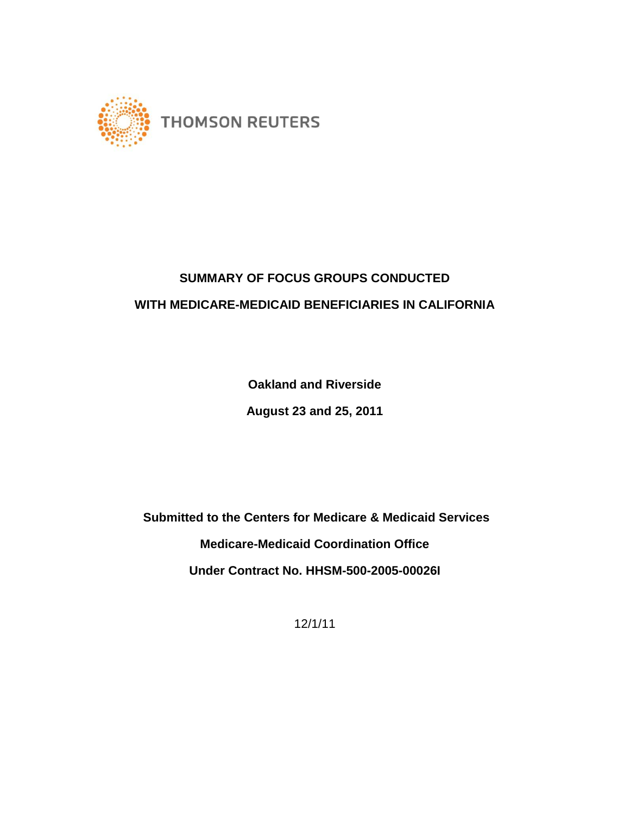

# **SUMMARY OF FOCUS GROUPS CONDUCTED WITH MEDICARE-MEDICAID BENEFICIARIES IN CALIFORNIA**

**Oakland and Riverside**

**August 23 and 25, 2011**

**Submitted to the Centers for Medicare & Medicaid Services Medicare-Medicaid Coordination Office Under Contract No. HHSM-500-2005-00026I** 

12/1/11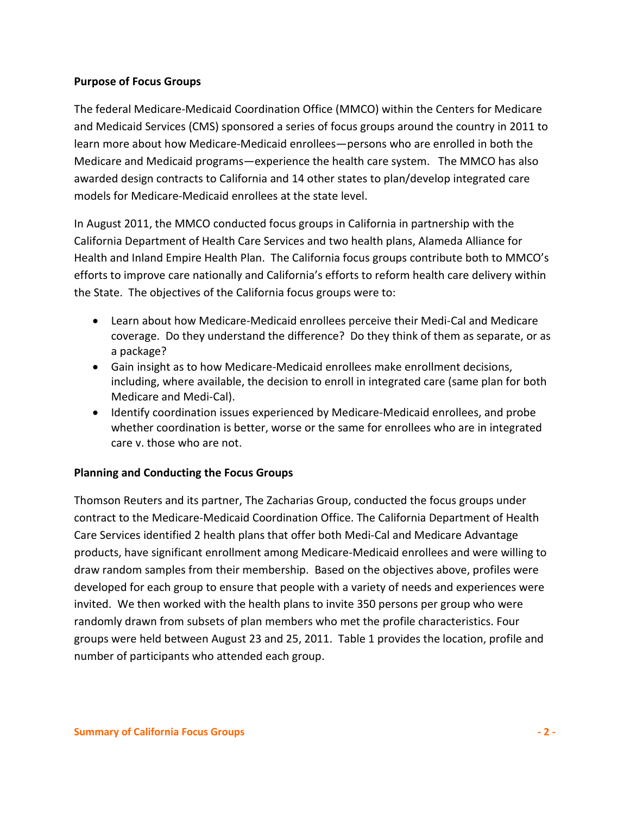## **Purpose of Focus Groups**

The federal Medicare-Medicaid Coordination Office (MMCO) within the Centers for Medicare and Medicaid Services (CMS) sponsored a series of focus groups around the country in 2011 to learn more about how Medicare-Medicaid enrollees—persons who are enrolled in both the Medicare and Medicaid programs—experience the health care system. The MMCO has also awarded design contracts to California and 14 other states to plan/develop integrated care models for Medicare-Medicaid enrollees at the state level.

In August 2011, the MMCO conducted focus groups in California in partnership with the California Department of Health Care Services and two health plans, Alameda Alliance for Health and Inland Empire Health Plan. The California focus groups contribute both to MMCO's efforts to improve care nationally and California's efforts to reform health care delivery within the State. The objectives of the California focus groups were to:

- Learn about how Medicare-Medicaid enrollees perceive their Medi-Cal and Medicare coverage. Do they understand the difference? Do they think of them as separate, or as a package?
- Gain insight as to how Medicare-Medicaid enrollees make enrollment decisions, including, where available, the decision to enroll in integrated care (same plan for both Medicare and Medi-Cal).
- Identify coordination issues experienced by Medicare-Medicaid enrollees, and probe whether coordination is better, worse or the same for enrollees who are in integrated care v. those who are not.

## **Planning and Conducting the Focus Groups**

Thomson Reuters and its partner, The Zacharias Group, conducted the focus groups under contract to the Medicare-Medicaid Coordination Office. The California Department of Health Care Services identified 2 health plans that offer both Medi-Cal and Medicare Advantage products, have significant enrollment among Medicare-Medicaid enrollees and were willing to draw random samples from their membership. Based on the objectives above, profiles were developed for each group to ensure that people with a variety of needs and experiences were invited. We then worked with the health plans to invite 350 persons per group who were randomly drawn from subsets of plan members who met the profile characteristics. Four groups were held between August 23 and 25, 2011. Table 1 provides the location, profile and number of participants who attended each group.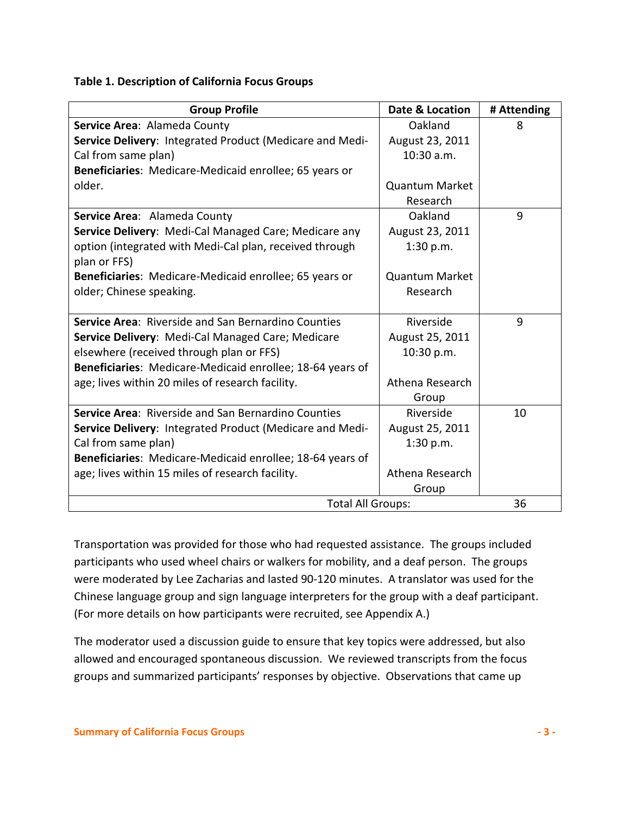#### **Table 1. Description of California Focus Groups**

| <b>Group Profile</b>                                          | Date & Location       | # Attending |
|---------------------------------------------------------------|-----------------------|-------------|
| Service Area: Alameda County                                  | Oakland               | 8           |
| Service Delivery: Integrated Product (Medicare and Medi-      | August 23, 2011       |             |
| Cal from same plan)                                           | 10:30 a.m.            |             |
| <b>Beneficiaries:</b> Medicare-Medicaid enrollee; 65 years or |                       |             |
| older.                                                        | <b>Quantum Market</b> |             |
|                                                               | Research              |             |
| Service Area: Alameda County                                  | Oakland               | 9           |
| Service Delivery: Medi-Cal Managed Care; Medicare any         | August 23, 2011       |             |
| option (integrated with Medi-Cal plan, received through       | 1:30 p.m.             |             |
| plan or FFS)                                                  |                       |             |
| Beneficiaries: Medicare-Medicaid enrollee; 65 years or        | <b>Quantum Market</b> |             |
| older; Chinese speaking.                                      | Research              |             |
|                                                               |                       |             |
| Service Area: Riverside and San Bernardino Counties           | Riverside             | 9           |
| Service Delivery: Medi-Cal Managed Care; Medicare             | August 25, 2011       |             |
| elsewhere (received through plan or FFS)                      | 10:30 p.m.            |             |
| Beneficiaries: Medicare-Medicaid enrollee; 18-64 years of     |                       |             |
| age; lives within 20 miles of research facility.              | Athena Research       |             |
|                                                               | Group                 |             |
| Service Area: Riverside and San Bernardino Counties           | Riverside             | 10          |
| Service Delivery: Integrated Product (Medicare and Medi-      | August 25, 2011       |             |
| Cal from same plan)                                           | 1:30 p.m.             |             |
| Beneficiaries: Medicare-Medicaid enrollee; 18-64 years of     |                       |             |
| age; lives within 15 miles of research facility.              | Athena Research       |             |
|                                                               | Group                 |             |
| <b>Total All Groups:</b>                                      |                       | 36          |

Transportation was provided for those who had requested assistance. The groups included participants who used wheel chairs or walkers for mobility, and a deaf person. The groups were moderated by Lee Zacharias and lasted 90-120 minutes. A translator was used for the Chinese language group and sign language interpreters for the group with a deaf participant. (For more details on how participants were recruited, see Appendix A.)

The moderator used a discussion guide to ensure that key topics were addressed, but also allowed and encouraged spontaneous discussion. We reviewed transcripts from the focus groups and summarized participants' responses by objective. Observations that came up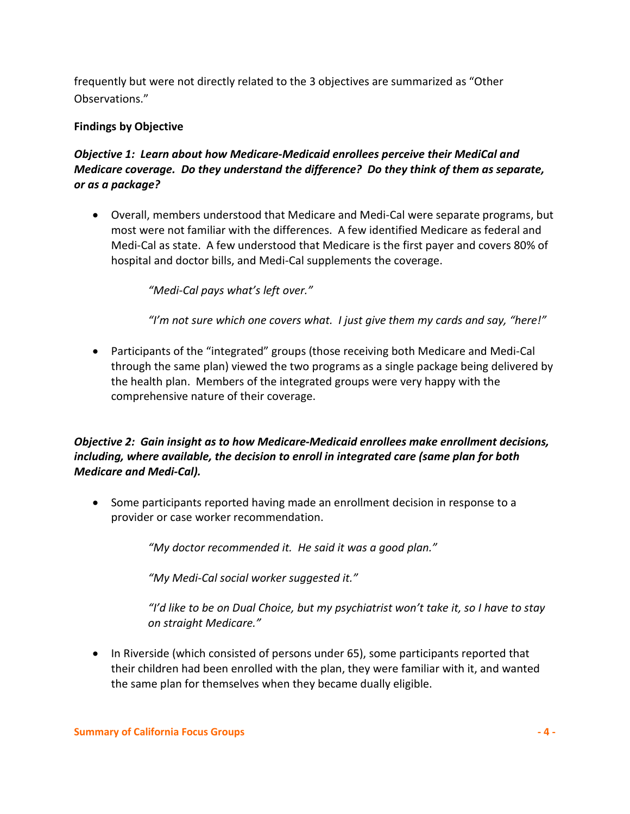frequently but were not directly related to the 3 objectives are summarized as "Other Observations."

## **Findings by Objective**

# *Objective 1: Learn about how Medicare-Medicaid enrollees perceive their MediCal and Medicare coverage. Do they understand the difference? Do they think of them as separate, or as a package?*

• Overall, members understood that Medicare and Medi-Cal were separate programs, but most were not familiar with the differences. A few identified Medicare as federal and Medi-Cal as state. A few understood that Medicare is the first payer and covers 80% of hospital and doctor bills, and Medi-Cal supplements the coverage.

*"Medi-Cal pays what's left over."*

*"I'm not sure which one covers what. I just give them my cards and say, "here!"* 

• Participants of the "integrated" groups (those receiving both Medicare and Medi-Cal through the same plan) viewed the two programs as a single package being delivered by the health plan. Members of the integrated groups were very happy with the comprehensive nature of their coverage.

# *Objective 2: Gain insight as to how Medicare-Medicaid enrollees make enrollment decisions, including, where available, the decision to enroll in integrated care (same plan for both Medicare and Medi-Cal).*

• Some participants reported having made an enrollment decision in response to a provider or case worker recommendation.

*"My doctor recommended it. He said it was a good plan."*

*"My Medi-Cal social worker suggested it."*

*"I'd like to be on Dual Choice, but my psychiatrist won't take it, so I have to stay on straight Medicare."*

• In Riverside (which consisted of persons under 65), some participants reported that their children had been enrolled with the plan, they were familiar with it, and wanted the same plan for themselves when they became dually eligible.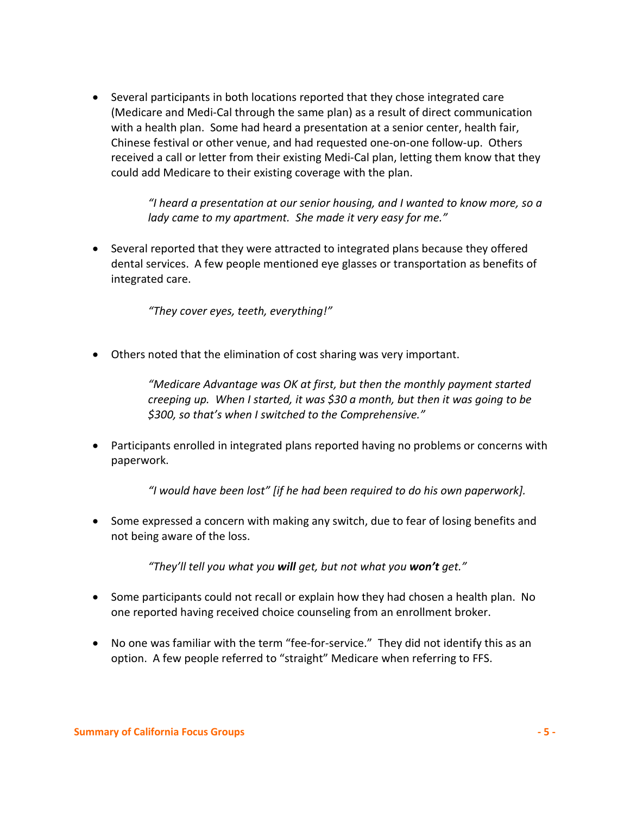• Several participants in both locations reported that they chose integrated care (Medicare and Medi-Cal through the same plan) as a result of direct communication with a health plan. Some had heard a presentation at a senior center, health fair, Chinese festival or other venue, and had requested one-on-one follow-up. Others received a call or letter from their existing Medi-Cal plan, letting them know that they could add Medicare to their existing coverage with the plan.

> *"I heard a presentation at our senior housing, and I wanted to know more, so a lady came to my apartment. She made it very easy for me."*

• Several reported that they were attracted to integrated plans because they offered dental services. A few people mentioned eye glasses or transportation as benefits of integrated care.

*"They cover eyes, teeth, everything!"*

• Others noted that the elimination of cost sharing was very important.

*"Medicare Advantage was OK at first, but then the monthly payment started creeping up. When I started, it was \$30 a month, but then it was going to be \$300, so that's when I switched to the Comprehensive."*

• Participants enrolled in integrated plans reported having no problems or concerns with paperwork.

*"I would have been lost" [if he had been required to do his own paperwork].*

• Some expressed a concern with making any switch, due to fear of losing benefits and not being aware of the loss.

*"They'll tell you what you will get, but not what you won't get."*

- Some participants could not recall or explain how they had chosen a health plan. No one reported having received choice counseling from an enrollment broker.
- No one was familiar with the term "fee-for-service." They did not identify this as an option. A few people referred to "straight" Medicare when referring to FFS.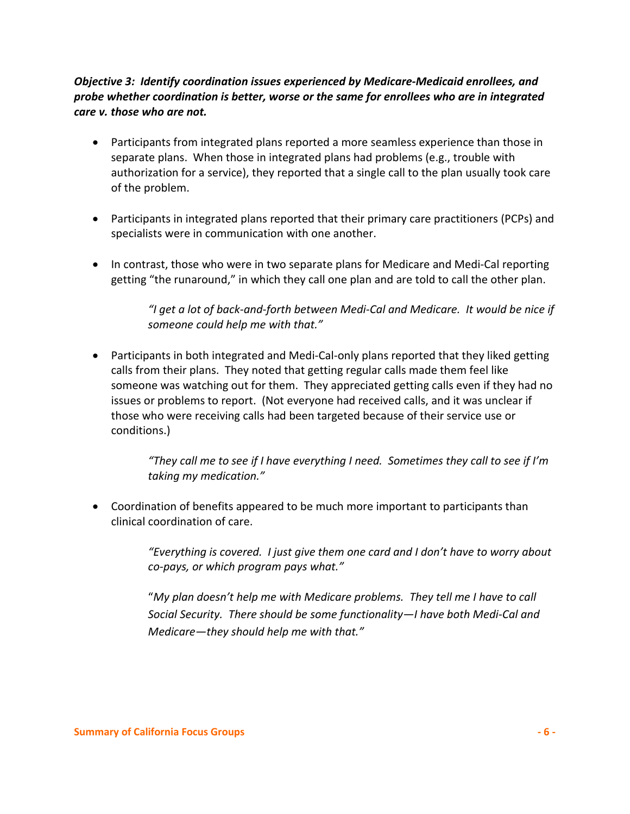## *Objective 3: Identify coordination issues experienced by Medicare-Medicaid enrollees, and probe whether coordination is better, worse or the same for enrollees who are in integrated care v. those who are not.*

- Participants from integrated plans reported a more seamless experience than those in separate plans. When those in integrated plans had problems (e.g., trouble with authorization for a service), they reported that a single call to the plan usually took care of the problem.
- Participants in integrated plans reported that their primary care practitioners (PCPs) and specialists were in communication with one another.
- In contrast, those who were in two separate plans for Medicare and Medi-Cal reporting getting "the runaround," in which they call one plan and are told to call the other plan.

*"I get a lot of back-and-forth between Medi-Cal and Medicare. It would be nice if someone could help me with that."*

• Participants in both integrated and Medi-Cal-only plans reported that they liked getting calls from their plans. They noted that getting regular calls made them feel like someone was watching out for them. They appreciated getting calls even if they had no issues or problems to report. (Not everyone had received calls, and it was unclear if those who were receiving calls had been targeted because of their service use or conditions.)

> *"They call me to see if I have everything I need. Sometimes they call to see if I'm taking my medication."*

• Coordination of benefits appeared to be much more important to participants than clinical coordination of care.

> *"Everything is covered. I just give them one card and I don't have to worry about co-pays, or which program pays what."*

"*My plan doesn't help me with Medicare problems. They tell me I have to call Social Security. There should be some functionality—I have both Medi-Cal and Medicare—they should help me with that."*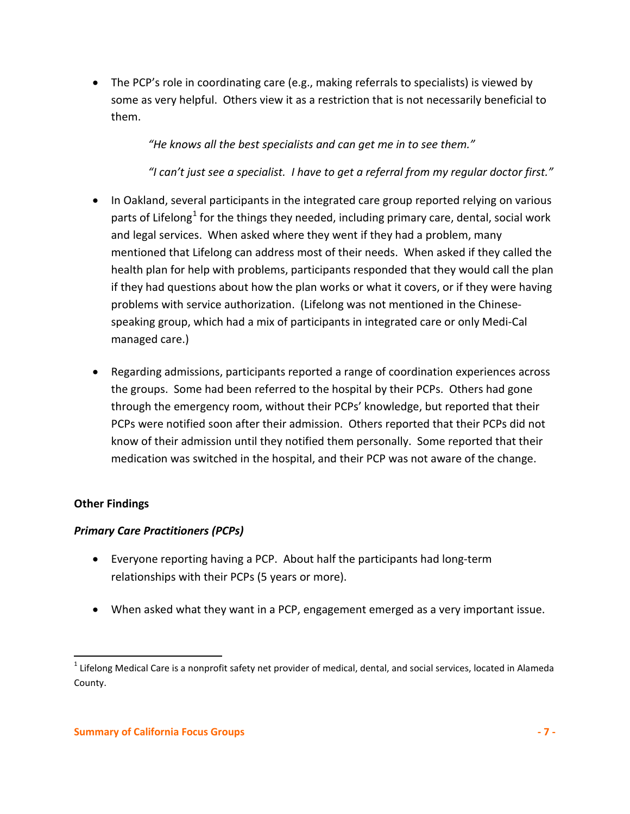• The PCP's role in coordinating care (e.g., making referrals to specialists) is viewed by some as very helpful. Others view it as a restriction that is not necessarily beneficial to them.

*"He knows all the best specialists and can get me in to see them."*

*"I can't just see a specialist. I have to get a referral from my regular doctor first."*

- In Oakland, several participants in the integrated care group reported relying on various parts of Lifelong<sup>[1](#page-6-0)</sup> for the things they needed, including primary care, dental, social work and legal services. When asked where they went if they had a problem, many mentioned that Lifelong can address most of their needs. When asked if they called the health plan for help with problems, participants responded that they would call the plan if they had questions about how the plan works or what it covers, or if they were having problems with service authorization. (Lifelong was not mentioned in the Chinesespeaking group, which had a mix of participants in integrated care or only Medi-Cal managed care.)
- Regarding admissions, participants reported a range of coordination experiences across the groups. Some had been referred to the hospital by their PCPs. Others had gone through the emergency room, without their PCPs' knowledge, but reported that their PCPs were notified soon after their admission. Others reported that their PCPs did not know of their admission until they notified them personally. Some reported that their medication was switched in the hospital, and their PCP was not aware of the change.

# **Other Findings**

## *Primary Care Practitioners (PCPs)*

- Everyone reporting having a PCP. About half the participants had long-term relationships with their PCPs (5 years or more).
- When asked what they want in a PCP, engagement emerged as a very important issue.

<span id="page-6-0"></span> $1$  Lifelong Medical Care is a nonprofit safety net provider of medical, dental, and social services, located in Alameda County.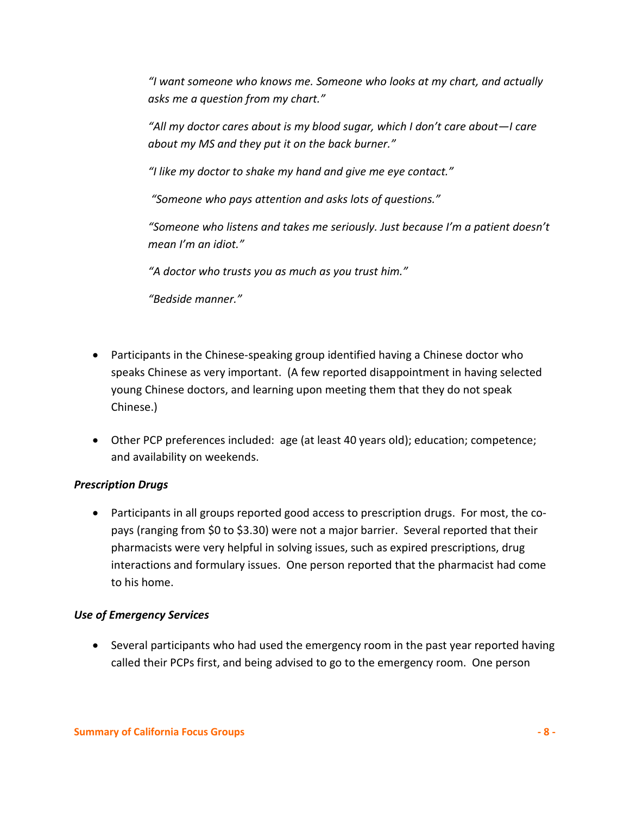*"I want someone who knows me. Someone who looks at my chart, and actually asks me a question from my chart."*

*"All my doctor cares about is my blood sugar, which I don't care about—I care about my MS and they put it on the back burner."*

*"I like my doctor to shake my hand and give me eye contact."*

*"Someone who pays attention and asks lots of questions."*

*"Someone who listens and takes me seriously. Just because I'm a patient doesn't mean I'm an idiot."*

*"A doctor who trusts you as much as you trust him."*

*"Bedside manner."*

- Participants in the Chinese-speaking group identified having a Chinese doctor who speaks Chinese as very important. (A few reported disappointment in having selected young Chinese doctors, and learning upon meeting them that they do not speak Chinese.)
- Other PCP preferences included: age (at least 40 years old); education; competence; and availability on weekends.

#### *Prescription Drugs*

• Participants in all groups reported good access to prescription drugs. For most, the copays (ranging from \$0 to \$3.30) were not a major barrier. Several reported that their pharmacists were very helpful in solving issues, such as expired prescriptions, drug interactions and formulary issues. One person reported that the pharmacist had come to his home.

#### *Use of Emergency Services*

• Several participants who had used the emergency room in the past year reported having called their PCPs first, and being advised to go to the emergency room. One person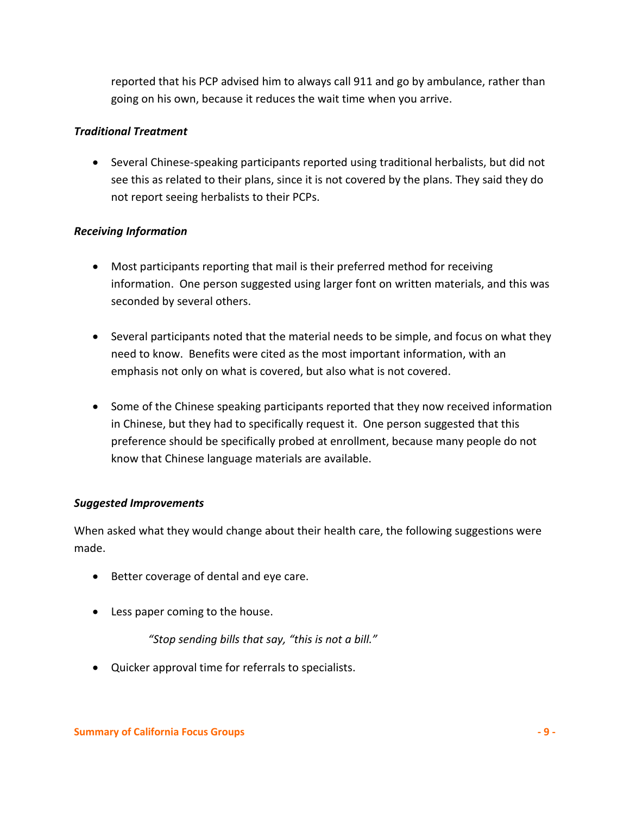reported that his PCP advised him to always call 911 and go by ambulance, rather than going on his own, because it reduces the wait time when you arrive.

## *Traditional Treatment*

• Several Chinese-speaking participants reported using traditional herbalists, but did not see this as related to their plans, since it is not covered by the plans. They said they do not report seeing herbalists to their PCPs.

## *Receiving Information*

- Most participants reporting that mail is their preferred method for receiving information. One person suggested using larger font on written materials, and this was seconded by several others.
- Several participants noted that the material needs to be simple, and focus on what they need to know. Benefits were cited as the most important information, with an emphasis not only on what is covered, but also what is not covered.
- Some of the Chinese speaking participants reported that they now received information in Chinese, but they had to specifically request it. One person suggested that this preference should be specifically probed at enrollment, because many people do not know that Chinese language materials are available.

#### *Suggested Improvements*

When asked what they would change about their health care, the following suggestions were made.

- Better coverage of dental and eye care.
- Less paper coming to the house.

*"Stop sending bills that say, "this is not a bill."*

• Quicker approval time for referrals to specialists.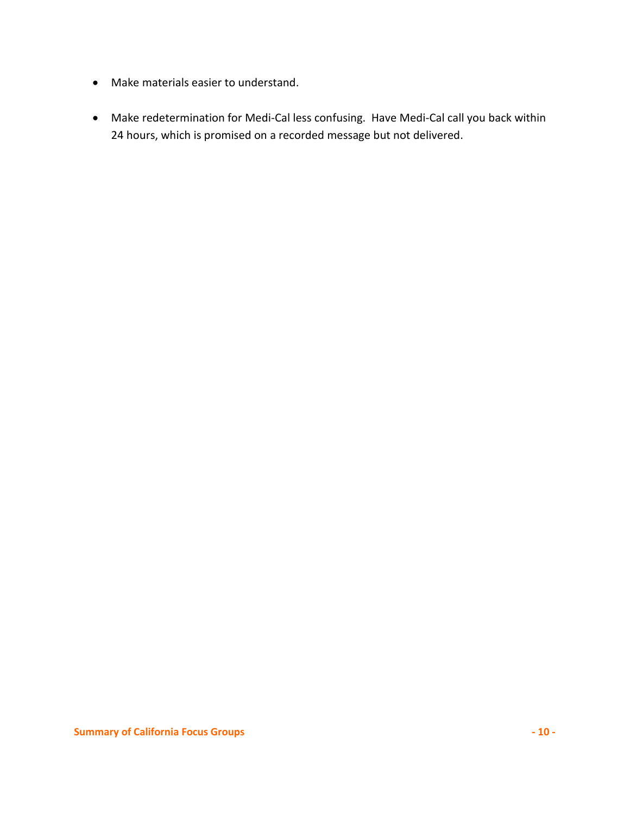- Make materials easier to understand.
- Make redetermination for Medi-Cal less confusing. Have Medi-Cal call you back within 24 hours, which is promised on a recorded message but not delivered.